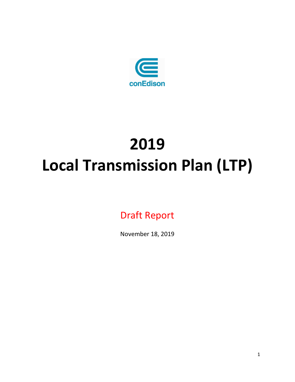

# **2019 Local Transmission Plan (LTP)**

Draft Report

November 18, 2019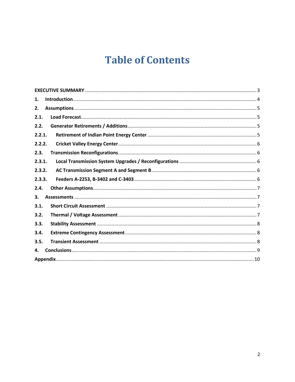## **Table of Contents**

| 1.     |
|--------|
| 2.     |
| 2.1.   |
| 2.2.   |
| 2.2.1. |
| 2.2.2. |
| 2.3.   |
| 2.3.1. |
| 2.3.2. |
| 2.3.3. |
| 2.4.   |
| 3.     |
| 3.1.   |
| 3.2.   |
| 3.3.   |
| 3.4.   |
| 3.5.   |
| 4.     |
|        |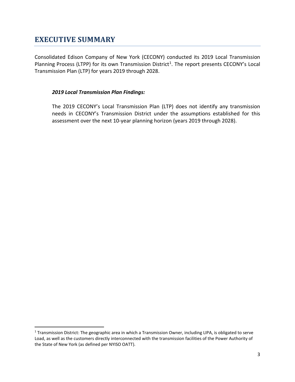### <span id="page-2-0"></span>**EXECUTIVE SUMMARY**

Consolidated Edison Company of New York (CECONY) conducted its 2019 Local Transmission Planning Process (LTPP) for its own Transmission District<sup>1</sup>. The report presents CECONY's Local Transmission Plan (LTP) for years 2019 through 2028.

#### *2019 Local Transmission Plan Findings:*

The 2019 CECONY's Local Transmission Plan (LTP) does not identify any transmission needs in CECONY's Transmission District under the assumptions established for this assessment over the next 10-year planning horizon (years 2019 through 2028).

<span id="page-2-1"></span> $1$  Transmission District: The geographic area in which a Transmission Owner, including LIPA, is obligated to serve Load, as well as the customers directly interconnected with the transmission facilities of the Power Authority of the State of New York (as defined per NYISO OATT).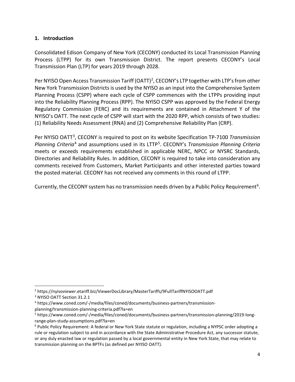#### <span id="page-3-0"></span>**1. Introduction**

Consolidated Edison Company of New York (CECONY) conducted its Local Transmission Planning Process (LTPP) for its own Transmission District. The report presents CECONY's Local Transmission Plan (LTP) for years 2019 through 2028.

Per NYISO Open Access Transmission Tariff (OATT)<sup>[2](#page-3-1)</sup>, CECONY's LTP together with LTP's from other New York Transmission Districts is used by the NYISO as an input into the Comprehensive System Planning Process (CSPP) where each cycle of CSPP commences with the LTPPs providing input into the Reliability Planning Process (RPP). The NYISO CSPP was approved by the Federal Energy Regulatory Commission (FERC) and its requirements are contained in Attachment Y of the NYISO's OATT. The next cycle of CSPP will start with the 2020 RPP, which consists of two studies: (1) Reliability Needs Assessment (RNA) and (2) Comprehensive Reliability Plan (CRP).

Per NYISO OATT[3](#page-3-2), CECONY is required to post on its website Specification TP-7100 *Transmission Planning Criteria*[4](#page-3-3) and assumptions used in its LTTP[5](#page-3-4). CECONY's *Transmission Planning Criteria* meets or exceeds requirements established in applicable NERC, NPCC or NYSRC Standards, Directories and Reliability Rules. In addition, CECONY is required to take into consideration any comments received from Customers, Market Participants and other interested parties toward the posted material. CECONY has not received any comments in this round of LTPP.

Currently, the CECONY system has no transmission needs driven by a Public Policy Requirement<sup>[6](#page-3-5)</sup>.

<span id="page-3-1"></span> <sup>2</sup> https://nyisoviewer.etariff.biz/ViewerDocLibrary/MasterTariffs/9FullTariffNYISOOATT.pdf

<span id="page-3-2"></span><sup>3</sup> NYISO OATT Section 31.2.1

<span id="page-3-3"></span><sup>4</sup> https://www.coned.com/-/media/files/coned/documents/business-partners/transmissionplanning/transmission-planning-criteria.pdf?la=en

<span id="page-3-4"></span><sup>5</sup> https://www.coned.com/-/media/files/coned/documents/business-partners/transmission-planning/2019-longrange-plan-study-assumptions.pdf?la=en

<span id="page-3-5"></span><sup>6</sup> Public Policy Requirement: A federal or New York State statute or regulation, including a NYPSC order adopting a rule or regulation subject to and in accordance with the State Administrative Procedure Act, any successor statute, or any duly enacted law or regulation passed by a local governmental entity in New York State, that may relate to transmission planning on the BPTFs (as defined per NYISO OATT).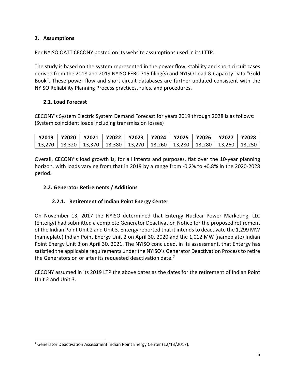#### <span id="page-4-0"></span>**2. Assumptions**

Per NYISO OATT CECONY posted on its website assumptions used in its LTTP.

The study is based on the system represented in the power flow, stability and short circuit cases derived from the 2018 and 2019 NYISO FERC 715 filing(s) and NYISO Load & Capacity Data "Gold Book". These power flow and short circuit databases are further updated consistent with the NYISO Reliability Planning Process practices, rules, and procedures.

#### <span id="page-4-1"></span>**2.1. Load Forecast**

CECONY's System Electric System Demand Forecast for years 2019 through 2028 is as follows: (System coincident loads including transmission losses)

| Y2019   Y2020 |  | Y2021   Y2022   Y2023   Y2024   Y2025   Y2026                                           |  | $\overline{1}$ Y2027 | <b>Y2028</b> |
|---------------|--|-----------------------------------------------------------------------------------------|--|----------------------|--------------|
|               |  | 13,270   13,320   13,370   13,380   13,270   13,260   13,280   13,280   13,260   13,250 |  |                      |              |

Overall, CECONY's load growth is, for all intents and purposes, flat over the 10-year planning horizon, with loads varying from that in 2019 by a range from -0.2% to +0.8% in the 2020-2028 period.

#### <span id="page-4-2"></span>**2.2. Generator Retirements / Additions**

#### **2.2.1. Retirement of Indian Point Energy Center**

<span id="page-4-3"></span>On November 13, 2017 the NYISO determined that Entergy Nuclear Power Marketing, LLC (Entergy) had submitted a complete Generator Deactivation Notice for the proposed retirement of the Indian Point Unit 2 and Unit 3. Entergy reported that it intends to deactivate the 1,299 MW (nameplate) Indian Point Energy Unit 2 on April 30, 2020 and the 1,012 MW (nameplate) Indian Point Energy Unit 3 on April 30, 2021. The NYISO concluded, in its assessment, that Entergy has satisfied the applicable requirements under the NYISO's Generator Deactivation Process to retire the Generators on or after its requested deactivation date. $<sup>7</sup>$  $<sup>7</sup>$  $<sup>7</sup>$ </sup>

CECONY assumed in its 2019 LTP the above dates as the dates for the retirement of Indian Point Unit 2 and Unit 3.

<span id="page-4-4"></span><sup>&</sup>lt;sup>7</sup> Generator Deactivation Assessment Indian Point Energy Center (12/13/2017).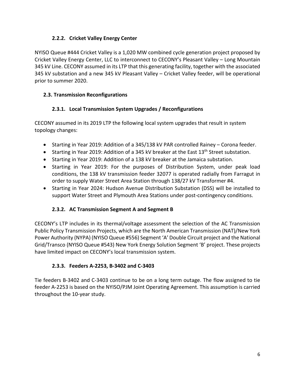#### **2.2.2. Cricket Valley Energy Center**

<span id="page-5-0"></span>NYISO Queue #444 Cricket Valley is a 1,020 MW combined cycle generation project proposed by Cricket Valley Energy Center, LLC to interconnect to CECONY's Pleasant Valley – Long Mountain 345 kV Line. CECONY assumed in its LTP that this generating facility, together with the associated 345 kV substation and a new 345 kV Pleasant Valley – Cricket Valley feeder, will be operational prior to summer 2020.

#### <span id="page-5-1"></span>**2.3. Transmission Reconfigurations**

#### **2.3.1. Local Transmission System Upgrades / Reconfigurations**

<span id="page-5-2"></span>CECONY assumed in its 2019 LTP the following local system upgrades that result in system topology changes:

- Starting in Year 2019: Addition of a 345/138 kV PAR controlled Rainey Corona feeder.
- Starting in Year 2019: Addition of a 345 kV breaker at the East  $13<sup>th</sup>$  Street substation.
- Starting in Year 2019: Addition of a 138 kV breaker at the Jamaica substation.
- Starting in Year 2019: For the purposes of Distribution System, under peak load conditions, the 138 kV transmission feeder 32077 is operated radially from Farragut in order to supply Water Street Area Station through 138/27 kV Transformer #4.
- Starting in Year 2024: Hudson Avenue Distribution Substation (DSS) will be installed to support Water Street and Plymouth Area Stations under post-contingency conditions.

#### **2.3.2. AC Transmission Segment A and Segment B**

<span id="page-5-3"></span>CECONY's LTP includes in its thermal/voltage assessment the selection of the AC Transmission Public Policy Transmission Projects, which are the North American Transmission (NAT)/New York Power Authority (NYPA) (NYISO Queue #556) Segment 'A' Double Circuit project and the National Grid/Transco (NYISO Queue #543) New York Energy Solution Segment 'B' project. These projects have limited impact on CECONY's local transmission system.

#### **2.3.3. Feeders A-2253, B-3402 and C-3403**

<span id="page-5-4"></span>Tie feeders B-3402 and C-3403 continue to be on a long term outage. The flow assigned to tie feeder A-2253 is based on the NYISO/PJM Joint Operating Agreement. This assumption is carried throughout the 10-year study.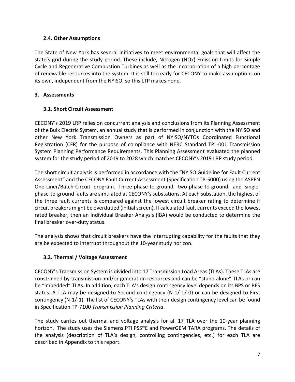#### <span id="page-6-0"></span>**2.4. Other Assumptions**

The State of New York has several initiatives to meet environmental goals that will affect the state's grid during the study period. These include, Nitrogen (NOx) Emission Limits for Simple Cycle and Regenerative Combustion Turbines as well as the incorporation of a high percentage of renewable resources into the system. It is still too early for CECONY to make assumptions on its own, independent from the NYISO, so this LTP makes none.

#### <span id="page-6-1"></span>**3. Assessments**

#### <span id="page-6-2"></span>**3.1. Short Circuit Assessment**

CECONY's 2019 LRP relies on concurrent analysis and conclusions from its Planning Assessment of the Bulk Electric System, an annual study that is performed in conjunction with the NYISO and other New York Transmission Owners as part of NYISO/NYTOs Coordinated Functional Registration (CFR) for the purpose of compliance with NERC Standard TPL-001 Transmission System Planning Performance Requirements. This Planning Assessment evaluated the planned system for the study period of 2019 to 2028 which matches CECONY's 2019 LRP study period.

The short circuit analysis is performed in accordance with the "NYISO Guideline for Fault Current Assessment" and the CECONY Fault Current Assessment (Specification TP-5000) using the ASPEN One-Liner/Batch-Circuit program. Three-phase-to-ground, two-phase-to-ground, and singlephase-to-ground faults are simulated at CECONY's substations. At each substation, the highest of the three fault currents is compared against the lowest circuit breaker rating to determine if circuit breakers might be overdutied (initial screen). If calculated fault currents exceed the lowest rated breaker, then an Individual Breaker Analysis (IBA) would be conducted to determine the final breaker over-duty status.

The analysis shows that circuit breakers have the interrupting capability for the faults that they are be expected to interrupt throughout the 10-year study horizon.

#### <span id="page-6-3"></span>**3.2. Thermal / Voltage Assessment**

CECONY's Transmission System is divided into 17 Transmission Load Areas (TLAs). These TLAs are constrained by transmission and/or generation resources and can be "stand alone" TLAs or can be "imbedded" TLAs. In addition, each TLA's design contingency level depends on its BPS or BES status. A TLA may be designed to Second contingency (N-1/-1/-0) or can be designed to First contingency (N-1/-1). The list of CECONY's TLAs with their design contingency level can be found in Specification TP-7100 *Transmission Planning Criteria*.

The study carries out thermal and voltage analysis for all 17 TLA over the 10-year planning horizon. The study uses the Siemens PTI PSS®E and PowerGEM TARA programs. The details of the analysis (description of TLA's design, controlling contingencies, etc.) for each TLA are described in Appendix to this report.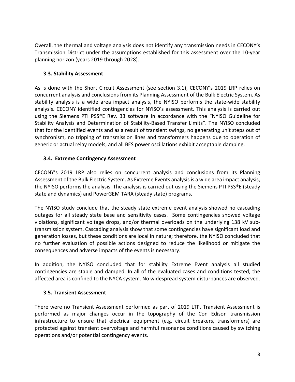Overall, the thermal and voltage analysis does not identify any transmission needs in CECONY's Transmission District under the assumptions established for this assessment over the 10-year planning horizon (years 2019 through 2028).

#### <span id="page-7-0"></span>**3.3. Stability Assessment**

As is done with the Short Circuit Assessment (see section 3.1), CECONY's 2019 LRP relies on concurrent analysis and conclusions from its Planning Assessment of the Bulk Electric System. As stability analysis is a wide area impact analysis, the NYISO performs the state-wide stability analysis. CECONY identified contingencies for NYISO's assessment. This analysis is carried out using the Siemens PTI PSS®E Rev. 33 software in accordance with the "NYISO Guideline for Stability Analysis and Determination of Stability-Based Transfer Limits". The NYISO concluded that for the identified events and as a result of transient swings, no generating unit steps out of synchronism, no tripping of transmission lines and transformers happens due to operation of generic or actual relay models, and all BES power oscillations exhibit acceptable damping.

#### <span id="page-7-1"></span>**3.4. Extreme Contingency Assessment**

CECONY's 2019 LRP also relies on concurrent analysis and conclusions from its Planning Assessment of the Bulk Electric System. As Extreme Events analysis is a wide area impact analysis, the NYISO performs the analysis. The analysis is carried out using the Siemens PTI PSS®E (steady state and dynamics) and PowerGEM TARA (steady state) programs.

The NYISO study conclude that the steady state extreme event analysis showed no cascading outages for all steady state base and sensitivity cases. Some contingencies showed voltage violations, significant voltage drops, and/or thermal overloads on the underlying 138 kV subtransmission system. Cascading analysis show that some contingencies have significant load and generation losses, but these conditions are local in nature; therefore, the NYISO concluded that no further evaluation of possible actions designed to reduce the likelihood or mitigate the consequences and adverse impacts of the events is necessary.

In addition, the NYISO concluded that for stability Extreme Event analysis all studied contingencies are stable and damped. In all of the evaluated cases and conditions tested, the affected area is confined to the NYCA system. No widespread system disturbances are observed.

#### <span id="page-7-2"></span>**3.5. Transient Assessment**

There were no Transient Assessment performed as part of 2019 LTP. Transient Assessment is performed as major changes occur in the topography of the Con Edison transmission infrastructure to ensure that electrical equipment (e.g. circuit breakers, transformers) are protected against transient overvoltage and harmful resonance conditions caused by switching operations and/or potential contingency events.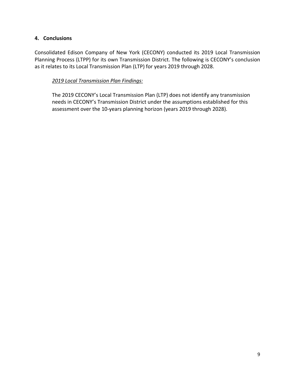#### <span id="page-8-0"></span>**4. Conclusions**

Consolidated Edison Company of New York (CECONY) conducted its 2019 Local Transmission Planning Process (LTPP) for its own Transmission District. The following is CECONY's conclusion as it relates to its Local Transmission Plan (LTP) for years 2019 through 2028.

#### *2019 Local Transmission Plan Findings:*

The 2019 CECONY's Local Transmission Plan (LTP) does not identify any transmission needs in CECONY's Transmission District under the assumptions established for this assessment over the 10-years planning horizon (years 2019 through 2028).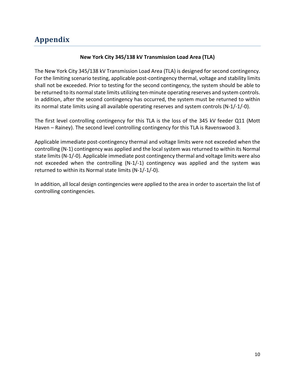#### **New York City 345/138 kV Transmission Load Area (TLA)**

<span id="page-9-0"></span>The New York City 345/138 kV Transmission Load Area (TLA) is designed for second contingency. For the limiting scenario testing, applicable post-contingency thermal, voltage and stability limits shall not be exceeded. Prior to testing for the second contingency, the system should be able to be returned to its normal state limits utilizing ten-minute operating reserves and system controls. In addition, after the second contingency has occurred, the system must be returned to within its normal state limits using all available operating reserves and system controls (N-1/-1/-0).

The first level controlling contingency for this TLA is the loss of the 345 kV feeder Q11 (Mott Haven – Rainey). The second level controlling contingency for this TLA is Ravenswood 3.

Applicable immediate post-contingency thermal and voltage limits were not exceeded when the controlling (N-1) contingency was applied and the local system was returned to within its Normal state limits(N-1/-0). Applicable immediate post contingency thermal and voltage limits were also not exceeded when the controlling (N-1/-1) contingency was applied and the system was returned to within its Normal state limits (N-1/-1/-0).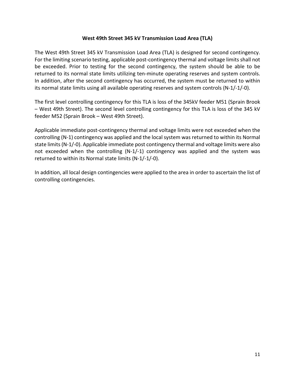#### **West 49th Street 345 kV Transmission Load Area (TLA)**

The West 49th Street 345 kV Transmission Load Area (TLA) is designed for second contingency. For the limiting scenario testing, applicable post-contingency thermal and voltage limits shall not be exceeded. Prior to testing for the second contingency, the system should be able to be returned to its normal state limits utilizing ten-minute operating reserves and system controls. In addition, after the second contingency has occurred, the system must be returned to within its normal state limits using all available operating reserves and system controls (N-1/-1/-0).

The first level controlling contingency for this TLA is loss of the 345kV feeder M51 (Sprain Brook – West 49th Street). The second level controlling contingency for this TLA is loss of the 345 kV feeder M52 (Sprain Brook – West 49th Street).

Applicable immediate post-contingency thermal and voltage limits were not exceeded when the controlling (N-1) contingency was applied and the local system was returned to within its Normal state limits(N-1/-0). Applicable immediate post contingency thermal and voltage limits were also not exceeded when the controlling (N-1/-1) contingency was applied and the system was returned to within its Normal state limits (N-1/-1/-0).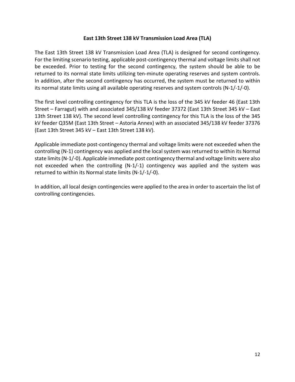#### **East 13th Street 138 kV Transmission Load Area (TLA)**

The East 13th Street 138 kV Transmission Load Area (TLA) is designed for second contingency. For the limiting scenario testing, applicable post-contingency thermal and voltage limits shall not be exceeded. Prior to testing for the second contingency, the system should be able to be returned to its normal state limits utilizing ten-minute operating reserves and system controls. In addition, after the second contingency has occurred, the system must be returned to within its normal state limits using all available operating reserves and system controls (N-1/-1/-0).

The first level controlling contingency for this TLA is the loss of the 345 kV feeder 46 (East 13th Street – Farragut) with and associated 345/138 kV feeder 37372 (East 13th Street 345 kV – East 13th Street 138 kV). The second level controlling contingency for this TLA is the loss of the 345 kV feeder Q35M (East 13th Street – Astoria Annex) with an associated 345/138 kV feeder 37376 (East 13th Street 345 kV – East 13th Street 138 kV).

Applicable immediate post-contingency thermal and voltage limits were not exceeded when the controlling (N-1) contingency was applied and the local system was returned to within its Normal state limits(N-1/-0). Applicable immediate post contingency thermal and voltage limits were also not exceeded when the controlling (N-1/-1) contingency was applied and the system was returned to within its Normal state limits (N-1/-1/-0).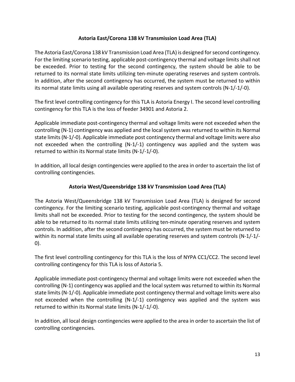#### **Astoria East/Corona 138 kV Transmission Load Area (TLA)**

The Astoria East/Corona 138 kV Transmission Load Area (TLA) is designed for second contingency. For the limiting scenario testing, applicable post-contingency thermal and voltage limits shall not be exceeded. Prior to testing for the second contingency, the system should be able to be returned to its normal state limits utilizing ten-minute operating reserves and system controls. In addition, after the second contingency has occurred, the system must be returned to within its normal state limits using all available operating reserves and system controls (N-1/-1/-0).

The first level controlling contingency for this TLA is Astoria Energy I. The second level controlling contingency for this TLA is the loss of feeder 34901 and Astoria 2.

Applicable immediate post-contingency thermal and voltage limits were not exceeded when the controlling (N-1) contingency was applied and the local system was returned to within its Normal state limits(N-1/-0). Applicable immediate post contingency thermal and voltage limits were also not exceeded when the controlling (N-1/-1) contingency was applied and the system was returned to within its Normal state limits (N-1/-1/-0).

In addition, all local design contingencies were applied to the area in order to ascertain the list of controlling contingencies.

#### **Astoria West/Queensbridge 138 kV Transmission Load Area (TLA)**

The Astoria West/Queensbridge 138 kV Transmission Load Area (TLA) is designed for second contingency. For the limiting scenario testing, applicable post-contingency thermal and voltage limits shall not be exceeded. Prior to testing for the second contingency, the system should be able to be returned to its normal state limits utilizing ten-minute operating reserves and system controls. In addition, after the second contingency has occurred, the system must be returned to within its normal state limits using all available operating reserves and system controls (N-1/-1/-0).

The first level controlling contingency for this TLA is the loss of NYPA CC1/CC2. The second level controlling contingency for this TLA is loss of Astoria 5.

Applicable immediate post-contingency thermal and voltage limits were not exceeded when the controlling (N-1) contingency was applied and the local system was returned to within its Normal state limits(N-1/-0). Applicable immediate post contingency thermal and voltage limits were also not exceeded when the controlling (N-1/-1) contingency was applied and the system was returned to within its Normal state limits (N-1/-1/-0).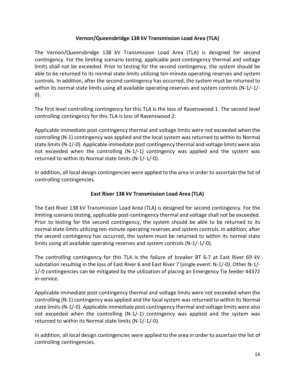#### **Vernon/Queensbridge 138 kV Transmission Load Area (TLA)**

The Vernon/Queensbridge 138 kV Transmission Load Area (TLA) is designed for second contingency. For the limiting scenario testing, applicable post-contingency thermal and voltage limits shall not be exceeded. Prior to testing for the second contingency, the system should be able to be returned to its normal state limits utilizing ten-minute operating reserves and system controls. In addition, after the second contingency has occurred, the system must be returned to within its normal state limits using all available operating reserves and system controls (N-1/-1/-0).

The first level controlling contingency for this TLA is the loss of Ravenswood 1. The second level controlling contingency for this TLA is loss of Ravenswood 2.

Applicable immediate post-contingency thermal and voltage limits were not exceeded when the controlling (N-1) contingency was applied and the local system was returned to within its Normal state limits(N-1/-0). Applicable immediate post contingency thermal and voltage limits were also not exceeded when the controlling (N-1/-1) contingency was applied and the system was returned to within its Normal state limits (N-1/-1/-0).

In addition, all local design contingencies were applied to the area in order to ascertain the list of controlling contingencies.

#### **East River 138 kV Transmission Load Area (TLA)**

The East River 138 kV Transmission Load Area (TLA) is designed for second contingency. For the limiting scenario testing, applicable post-contingency thermal and voltage shall not be exceeded. Prior to testing for the second contingency, the system should be able to be returned to its normal state limits utilizing ten-minute operating reserves and system controls. In addition, after the second contingency has occurred, the system must be returned to within its normal state limits using all available operating reserves and system controls (N-1/-1/-0).

The controlling contingency for this TLA is the failure of breaker BT 6-7 at East River 69 kV substation resulting in the loss of East River 6 and East River 7 (single event: N-1/-0). Other N-1/- 1/-0 contingencies can be mitigated by the utilization of placing an Emergency Tie feeder 44372 in-service.

Applicable immediate post-contingency thermal and voltage limits were not exceeded when the controlling (N-1) contingency was applied and the local system was returned to within its Normal state limits(N-1/-0). Applicable immediate post contingency thermal and voltage limits were also not exceeded when the controlling (N-1/-1) contingency was applied and the system was returned to within its Normal state limits (N-1/-1/-0).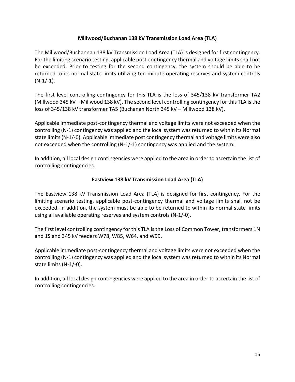#### **Millwood/Buchanan 138 kV Transmission Load Area (TLA)**

The Millwood/Buchannan 138 kV Transmission Load Area (TLA) is designed for first contingency. For the limiting scenario testing, applicable post-contingency thermal and voltage limits shall not be exceeded. Prior to testing for the second contingency, the system should be able to be returned to its normal state limits utilizing ten-minute operating reserves and system controls  $(N-1/-1)$ .

The first level controlling contingency for this TLA is the loss of 345/138 kV transformer TA2 (Millwood 345 kV – Millwood 138 kV). The second level controlling contingency for this TLA is the loss of 345/138 kV transformer TA5 (Buchanan North 345 kV – Millwood 138 kV).

Applicable immediate post-contingency thermal and voltage limits were not exceeded when the controlling (N-1) contingency was applied and the local system was returned to within its Normal state limits(N-1/-0). Applicable immediate post contingency thermal and voltage limits were also not exceeded when the controlling (N-1/-1) contingency was applied and the system.

In addition, all local design contingencies were applied to the area in order to ascertain the list of controlling contingencies.

#### **Eastview 138 kV Transmission Load Area (TLA)**

The Eastview 138 kV Transmission Load Area (TLA) is designed for first contingency. For the limiting scenario testing, applicable post-contingency thermal and voltage limits shall not be exceeded. In addition, the system must be able to be returned to within its normal state limits using all available operating reserves and system controls (N-1/-0).

The first level controlling contingency for this TLA is the Loss of Common Tower, transformers 1N and 1S and 345 kV feeders W78, W85, W64, and W99.

Applicable immediate post-contingency thermal and voltage limits were not exceeded when the controlling (N-1) contingency was applied and the local system was returned to within its Normal state limits (N-1/-0).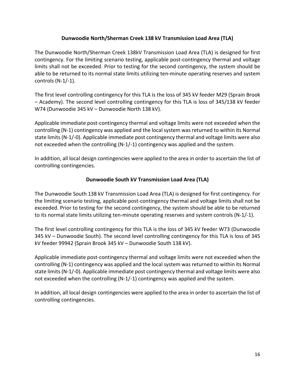#### **Dunwoodie North/Sherman Creek 138 kV Transmission Load Area (TLA)**

The Dunwoodie North/Sherman Creek 138kV Transmission Load Area (TLA) is designed for first contingency. For the limiting scenario testing, applicable post-contingency thermal and voltage limits shall not be exceeded. Prior to testing for the second contingency, the system should be able to be returned to its normal state limits utilizing ten-minute operating reserves and system controls (N-1/-1).

The first level controlling contingency for this TLA is the loss of 345 kV feeder M29 (Sprain Brook – Academy). The second level controlling contingency for this TLA is loss of 345/138 kV feeder W74 (Dunwoodie 345 kV – Dunwoodie North 138 kV).

Applicable immediate post-contingency thermal and voltage limits were not exceeded when the controlling (N-1) contingency was applied and the local system was returned to within its Normal state limits(N-1/-0). Applicable immediate post contingency thermal and voltage limits were also not exceeded when the controlling (N-1/-1) contingency was applied and the system.

In addition, all local design contingencies were applied to the area in order to ascertain the list of controlling contingencies.

#### **Dunwoodie South kV Transmission Load Area (TLA)**

The Dunwoodie South 138 kV Transmission Load Area (TLA) is designed for first contingency. For the limiting scenario testing, applicable post-contingency thermal and voltage limits shall not be exceeded. Prior to testing for the second contingency, the system should be able to be returned to its normal state limits utilizing ten-minute operating reserves and system controls (N-1/-1).

The first level controlling contingency for this TLA is the loss of 345 kV feeder W73 (Dunwoodie 345 kV – Dunwoodie South). The second level controlling contingency for this TLA is loss of 345 kV feeder 99942 (Sprain Brook 345 kV – Dunwoodie South 138 kV).

Applicable immediate post-contingency thermal and voltage limits were not exceeded when the controlling (N-1) contingency was applied and the local system was returned to within its Normal state limits (N-1/-0). Applicable immediate post contingency thermal and voltage limits were also not exceeded when the controlling (N-1/-1) contingency was applied and the system.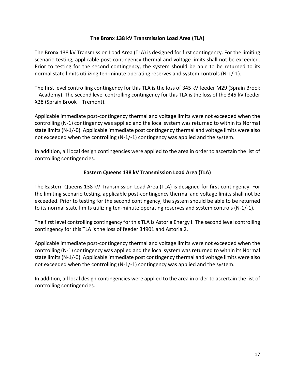#### **The Bronx 138 kV Transmission Load Area (TLA)**

The Bronx 138 kV Transmission Load Area (TLA) is designed for first contingency. For the limiting scenario testing, applicable post-contingency thermal and voltage limits shall not be exceeded. Prior to testing for the second contingency, the system should be able to be returned to its normal state limits utilizing ten-minute operating reserves and system controls (N-1/-1).

The first level controlling contingency for this TLA is the loss of 345 kV feeder M29 (Sprain Brook – Academy). The second level controlling contingency for this TLA is the loss of the 345 kV feeder X28 (Sprain Brook – Tremont).

Applicable immediate post-contingency thermal and voltage limits were not exceeded when the controlling (N-1) contingency was applied and the local system was returned to within its Normal state limits (N-1/-0). Applicable immediate post contingency thermal and voltage limits were also not exceeded when the controlling (N-1/-1) contingency was applied and the system.

In addition, all local design contingencies were applied to the area in order to ascertain the list of controlling contingencies.

#### **Eastern Queens 138 kV Transmission Load Area (TLA)**

The Eastern Queens 138 kV Transmission Load Area (TLA) is designed for first contingency. For the limiting scenario testing, applicable post-contingency thermal and voltage limits shall not be exceeded. Prior to testing for the second contingency, the system should be able to be returned to its normal state limits utilizing ten-minute operating reserves and system controls (N-1/-1).

The first level controlling contingency for this TLA is Astoria Energy I. The second level controlling contingency for this TLA is the loss of feeder 34901 and Astoria 2.

Applicable immediate post-contingency thermal and voltage limits were not exceeded when the controlling (N-1) contingency was applied and the local system was returned to within its Normal state limits (N-1/-0). Applicable immediate post contingency thermal and voltage limits were also not exceeded when the controlling (N-1/-1) contingency was applied and the system.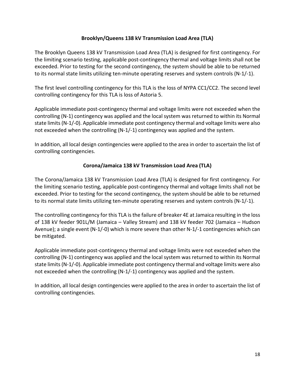#### **Brooklyn/Queens 138 kV Transmission Load Area (TLA)**

The Brooklyn Queens 138 kV Transmission Load Area (TLA) is designed for first contingency. For the limiting scenario testing, applicable post-contingency thermal and voltage limits shall not be exceeded. Prior to testing for the second contingency, the system should be able to be returned to its normal state limits utilizing ten-minute operating reserves and system controls (N-1/-1).

The first level controlling contingency for this TLA is the loss of NYPA CC1/CC2. The second level controlling contingency for this TLA is loss of Astoria 5.

Applicable immediate post-contingency thermal and voltage limits were not exceeded when the controlling (N-1) contingency was applied and the local system was returned to within its Normal state limits (N-1/-0). Applicable immediate post contingency thermal and voltage limits were also not exceeded when the controlling (N-1/-1) contingency was applied and the system.

In addition, all local design contingencies were applied to the area in order to ascertain the list of controlling contingencies.

#### **Corona/Jamaica 138 kV Transmission Load Area (TLA)**

The Corona/Jamaica 138 kV Transmission Load Area (TLA) is designed for first contingency. For the limiting scenario testing, applicable post-contingency thermal and voltage limits shall not be exceeded. Prior to testing for the second contingency, the system should be able to be returned to its normal state limits utilizing ten-minute operating reserves and system controls (N-1/-1).

The controlling contingency for this TLA is the failure of breaker 4E at Jamaica resulting in the loss of 138 kV feeder 901L/M (Jamaica – Valley Stream) and 138 kV feeder 702 (Jamaica – Hudson Avenue); a single event (N-1/-0) which is more severe than other N-1/-1 contingencies which can be mitigated.

Applicable immediate post-contingency thermal and voltage limits were not exceeded when the controlling (N-1) contingency was applied and the local system was returned to within its Normal state limits (N-1/-0). Applicable immediate post contingency thermal and voltage limits were also not exceeded when the controlling (N-1/-1) contingency was applied and the system.